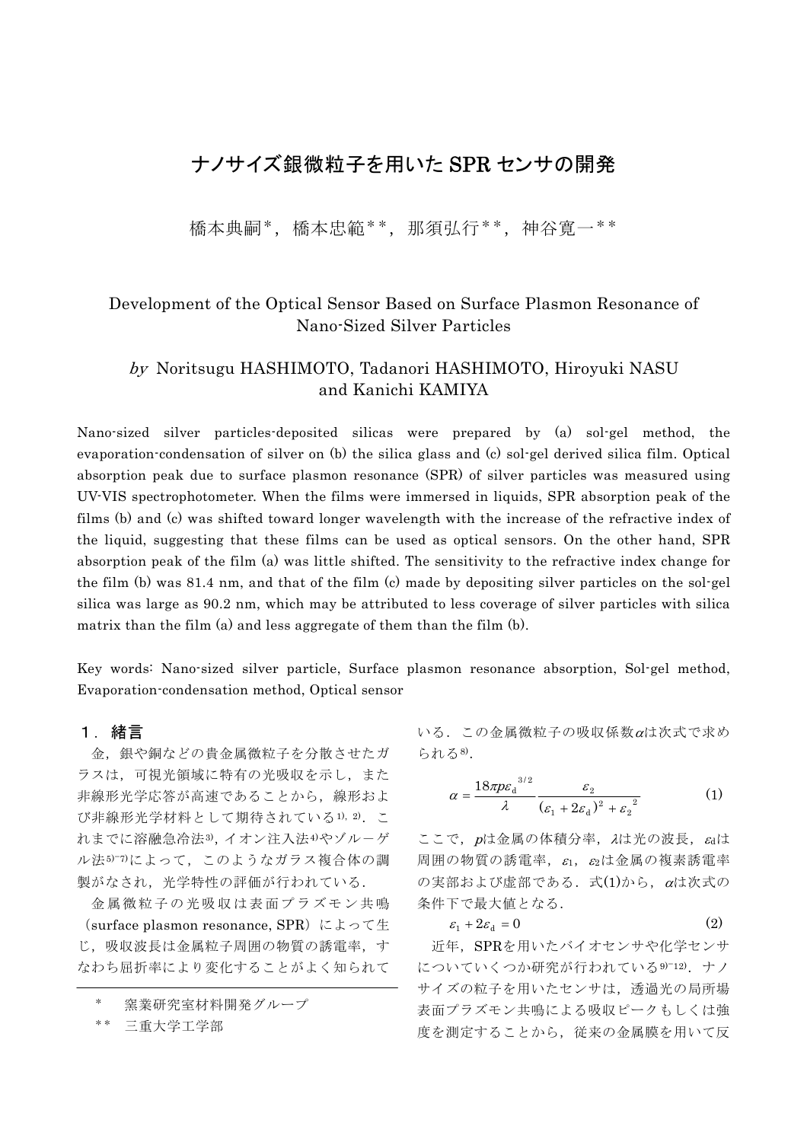# ナノサイズ銀微粒子を用いた SPR センサの開発

橋本典嗣\*,橋本忠範\*\*,那須弘行\*\*,神谷寛一\*\*

# Development of the Optical Sensor Based on Surface Plasmon Resonance of Nano-Sized Silver Particles

## by Noritsugu HASHIMOTO, Tadanori HASHIMOTO, Hiroyuki NASU and Kanichi KAMIYA

Nano-sized silver particles-deposited silicas were prepared by (a) sol-gel method, the evaporation-condensation of silver on (b) the silica glass and (c) sol-gel derived silica film. Optical absorption peak due to surface plasmon resonance (SPR) of silver particles was measured using UV-VIS spectrophotometer. When the films were immersed in liquids, SPR absorption peak of the films (b) and (c) was shifted toward longer wavelength with the increase of the refractive index of the liquid, suggesting that these films can be used as optical sensors. On the other hand, SPR absorption peak of the film (a) was little shifted. The sensitivity to the refractive index change for the film (b) was 81.4 nm, and that of the film (c) made by depositing silver particles on the sol-gel silica was large as 90.2 nm, which may be attributed to less coverage of silver particles with silica matrix than the film (a) and less aggregate of them than the film (b).

Key words: Nano-sized silver particle, Surface plasmon resonance absorption, Sol-gel method, Evaporation-condensation method, Optical sensor

## 1.緒言

金,銀や銅などの貴金属微粒子を分散させたガ ラスは,可視光領域に特有の光吸収を示し,また 非線形光学応答が高速であることから、線形およ び非線形光学材料として期待されている1), 2). こ れまでに溶融急冷法3),イオン注入法4)やゾルーゲ ル法5つによって、このようなガラス複合体の調 製がなされ,光学特性の評価が行われている.

金属微粒子の光吸収は表面プラズモン共鳴 (surface plasmon resonance, SPR)によって生 じ、吸収波長は金属粒子周囲の物質の誘電率、す なわち屈折率により変化することがよく知られて

窯業研究室材料開発グループ

三重大学工学部

いる.この金属微粒子の吸収係数αは次式で求め られる8).

$$
\alpha = \frac{18\pi p \varepsilon_d^{3/2}}{\lambda} \frac{\varepsilon_2}{\left(\varepsilon_1 + 2\varepsilon_d\right)^2 + \varepsilon_2^2}
$$
 (1)

ここで、pは金属の体積分率, Aは光の波長, Gdは 周囲の物質の誘電率,  $\varepsilon_1$ ,  $\varepsilon_2$ は金属の複素誘電率  $\mathcal{O}$ 実部および虚部である. 式 $(1)$ から、 $\alpha$ は次式の 条件下で最大値となる.

$$
\varepsilon_1 + 2\varepsilon_d = 0\tag{2}
$$

 近年,SPRを用いたバイオセンサや化学センサ についていくつか研究が行われている9)−12).ナノ サイズの粒子を用いたセンサは,透過光の局所場 表面プラズモン共鳴による吸収ピークもしくは強 度を測定することから,従来の金属膜を用いて反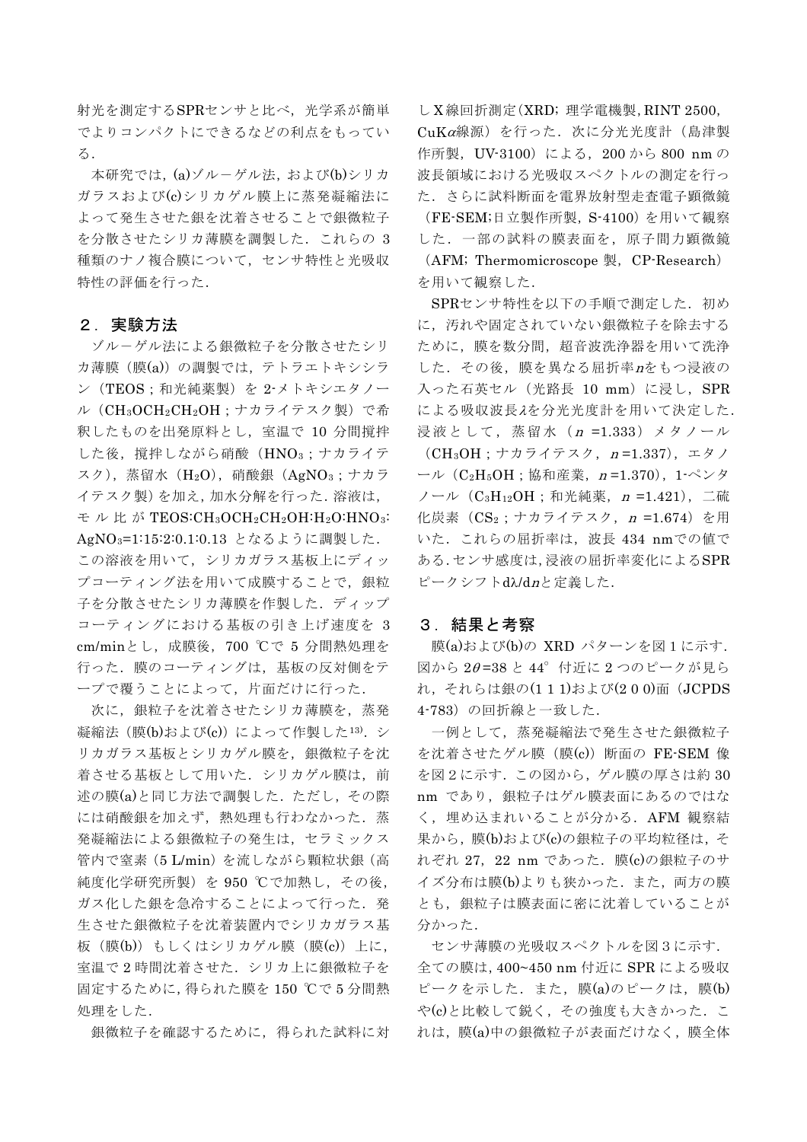射光を測定するSPRセンサと比べ,光学系が簡単 でよりコンパクトにできるなどの利点をもってい る.

本研究では,(a)ゾル-ゲル法,および(b)シリカ ガラスおよび(c)シリカゲル膜上に蒸発凝縮法に よって発生させた銀を沈着させることで銀微粒子 を分散させたシリカ薄膜を調製した.これらの 3 種類のナノ複合膜について,センサ特性と光吸収 特性の評価を行った.

### 2.実験方法

ゾル-ゲル法による銀微粒子を分散させたシリ カ薄膜(膜(a))の調製では、テトラエトキシシラ ン(TEOS;和光純薬製)を 2-メトキシエタノー ル(CH3OCH2CH2OH;ナカライテスク製)で希 釈したものを出発原料とし,室温で 10 分間撹拌 した後、撹拌しながら硝酸(HNO3;ナカライテ スク),蒸留水(H2O),硝酸銀(AgNO3;ナカラ イテスク製)を加え,加水分解を行った.溶液は, モル比が TEOS:CH<sub>3</sub>OCH<sub>2</sub>CH<sub>2</sub>OH:H<sub>2</sub>O:HNO<sub>3</sub>: AgNO<sub>3</sub>=1:15:2:0.1:0.13 となるように調製した. この溶液を用いて,シリカガラス基板上にディッ プコーティング法を用いて成膜することで、銀粒 子を分散させたシリカ薄膜を作製した. ディップ コーティングにおける基板の引き上げ速度を 3 cm/minとし,成膜後,700 ℃で 5 分間熱処理を 行った.膜のコーティングは,基板の反対側をテ ープで覆うことによって,片面だけに行った.

次に,銀粒子を沈着させたシリカ薄膜を,蒸発 凝縮法(膜(b)および(c))によって作製した13). シ リカガラス基板とシリカゲル膜を、銀微粒子を沈 着させる基板として用いた. シリカゲル膜は、前 述の膜(a)と同じ方法で調製した.ただし,その際 には硝酸銀を加えず,熱処理も行わなかった.蒸 発凝縮法による銀微粒子の発生は,セラミックス 管内で窒素(5 L/min)を流しながら顆粒状銀(高 純度化学研究所製)を 950 ℃で加熱し,その後, ガス化した銀を急冷することによって行った.発 生させた銀微粒子を沈着装置内でシリカガラス基 板 (膜(b)) もしくはシリカゲル膜 (膜(c)) 上に, 室温で 2 時間沈着させた.シリカ上に銀微粒子を 固定するために,得られた膜を 150 ℃で 5 分間熱 処理をした.

銀微粒子を確認するために,得られた試料に対

し X 線回折測定(XRD; 理学電機製,RINT 2500,  $CuK\alpha$ 線源)を行った. 次に分光光度計(島津製 作所製, UV-3100)による, 200から 800 nm の 波長領域における光吸収スペクトルの測定を行っ た.さらに試料断面を電界放射型走査電子顕微鏡 (FE-SEM;日立製作所製,S-4100)を用いて観察 した.一部の試料の膜表面を,原子間力顕微鏡 (AFM; Thermomicroscope 製, CP-Research) を用いて観察した.

SPRセンサ特性を以下の手順で測定した. 初め に,汚れや固定されていない銀微粒子を除去する ために,膜を数分間,超音波洗浄器を用いて洗浄 した. その後, 膜を異なる屈折率nをもつ浸液の 入った石英セル (光路長 10 mm) に浸し, SPR による吸収波長λを分光光度計を用いて決定した. 浸液として,蒸留水(n =1.333)メタノール  $(CH<sub>3</sub>OH; + hH<sub>2</sub>)$ ライテスク, n = 1.337), エタノ ール ( $C_2H_5OH$ ; 協和産業, n=1.370), 1-ペンタ ノール(C3H12OH;和光純薬,n =1.421),二硫 化炭素 (CS<sub>2</sub>;ナカライテスク, n =1.674) を用 いた. これらの屈折率は, 波長 434 nmでの値で ある.センサ感度は,浸液の屈折率変化によるSPR ピークシフトdλ/dnと定義した.

### 3.結果と考察

膜(a)および(b)の XRD パターンを図1に示す. 図から 2θ =38 と 44°付近に 2 つのピークが見ら れ, それらは銀の(111)および(200)面(JCPDS 4-783) の回折線と一致した.

一例として,蒸発凝縮法で発生させた銀微粒子 を沈着させたゲル膜 (膜(c)) 断面の FE-SEM 像 を図2に示す.この図から,ゲル膜の厚さは約 30 nm であり、銀粒子はゲル膜表面にあるのではな く,埋め込まれいることが分かる.AFM 観察結 果から,膜(b)および(c)の銀粒子の平均粒径は,そ れぞれ 27,22 nm であった.膜(c)の銀粒子のサ イズ分布は膜(b)よりも狭かった. また、両方の膜 とも,銀粒子は膜表面に密に沈着していることが 分かった.

センサ薄膜の光吸収スペクトルを図3に示す. 全ての膜は,400~450 nm 付近に SPR による吸収 ピークを示した.また,膜(a)のピークは,膜(b) や(c)と比較して鋭く,その強度も大きかった.こ れは,膜(a)中の銀微粒子が表面だけなく,膜全体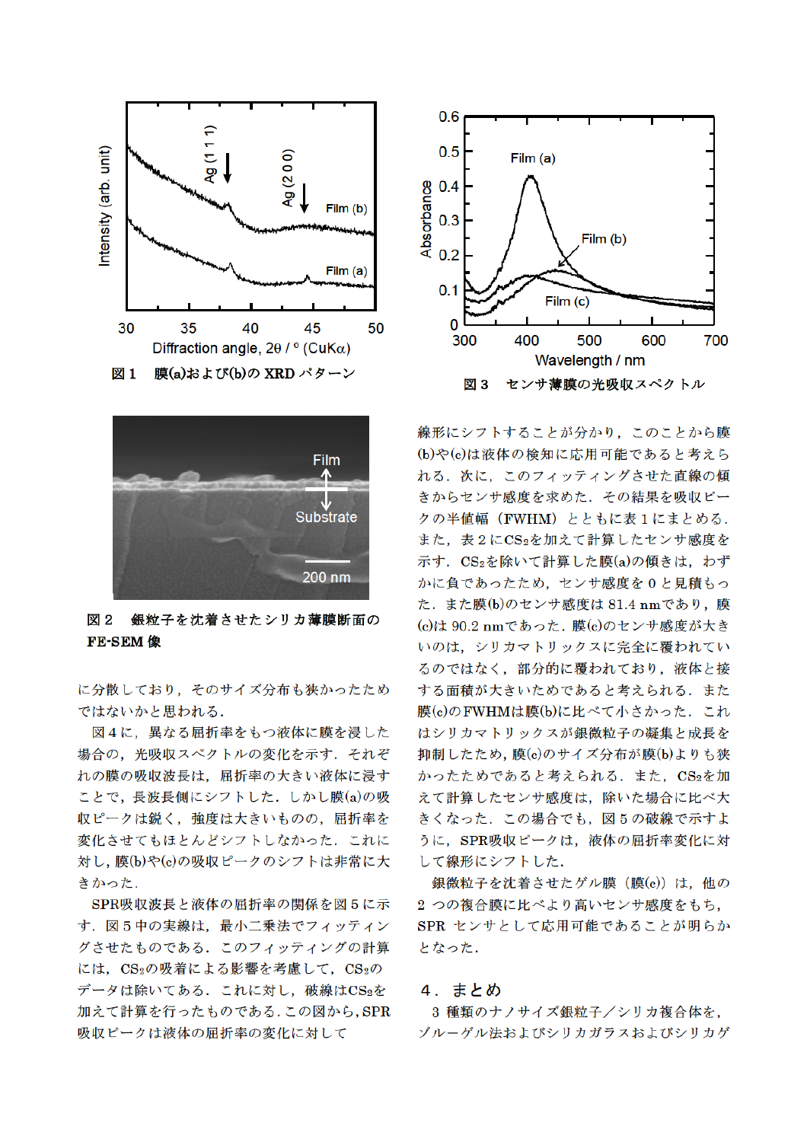



図2 銀粒子を沈着させたシリカ薄膜断面の **FE-SEM 像** 

に分散しており、そのサイズ分布も狭かったため ではないかと思われる.

図4に、異なる屈折率をもつ液体に膜を浸した 場合の、光吸収スペクトルの変化を示す、それぞ れの膜の吸収波長は、屈折率の大きい液体に浸す ことで、長波長側にシフトした. しかし膜(a)の吸 収ピークは鋭く、強度は大きいものの、屈折率を 変化させてもほとんどシフトしなかった。これに 対し、膜(b)や(c)の吸収ピークのシフトは非常に大 きかった.

SPR吸収波長と液体の屈折率の関係を図5に示 す. 図5中の実線は、最小二乗法でフィッティン グさせたものである. このフィッティングの計算 には、CS2の吸着による影響を考慮して、CS2の データは除いてある。これに対し、破線はCS2を 加えて計算を行ったものである.この図から, SPR 吸収ピークは液体の屈折率の変化に対して



線形にシフトすることが分かり、このことから膜 (b)や(c)は液体の検知に応用可能であると考えら れる。次に、このフィッティングさせた直線の傾 きからセンサ感度を求めた. その結果を吸収ピー クの半値幅 (FWHM) とともに表1にまとめる. また、表2にCS2を加えて計算したセンサ感度を 示す. CS<sub>2</sub>を除いて計算した膜(a)の傾きは、わず かに負であったため、センサ感度を0と見積もっ た. また膜(b)のセンサ感度は 81.4 nmであり、膜 (c)は 90.2 nmであった. 膜(c)のセンサ感度が大き いのは、シリカマトリックスに完全に覆われてい るのではなく、部分的に覆われており、液体と接 する面積が大きいためであると考えられる。また 膜(c)のFWHMは膜(b)に比べて小さかった. これ はシリカマトリックスが銀微粒子の凝集と成長を 抑制したため、膜(c)のサイズ分布が膜(b)よりも狭 かったためであると考えられる. また, CS2を加 えて計算したセンサ感度は、除いた場合に比べ大 きくなった. この場合でも, 図5の破線で示すよ うに、SPR吸収ピークは、液体の屈折率変化に対 して線形にシフトした.

銀微粒子を沈着させたゲル膜 (膜(c)) は、他の 2 つの複合膜に比べより高いセンサ感度をもち, SPR センサとして応用可能であることが明らか となった.

### 4. まとめ

3 種類のナノサイズ銀粒子/シリカ複合体を, ゾルーゲル法およびシリカガラスおよびシリカゲ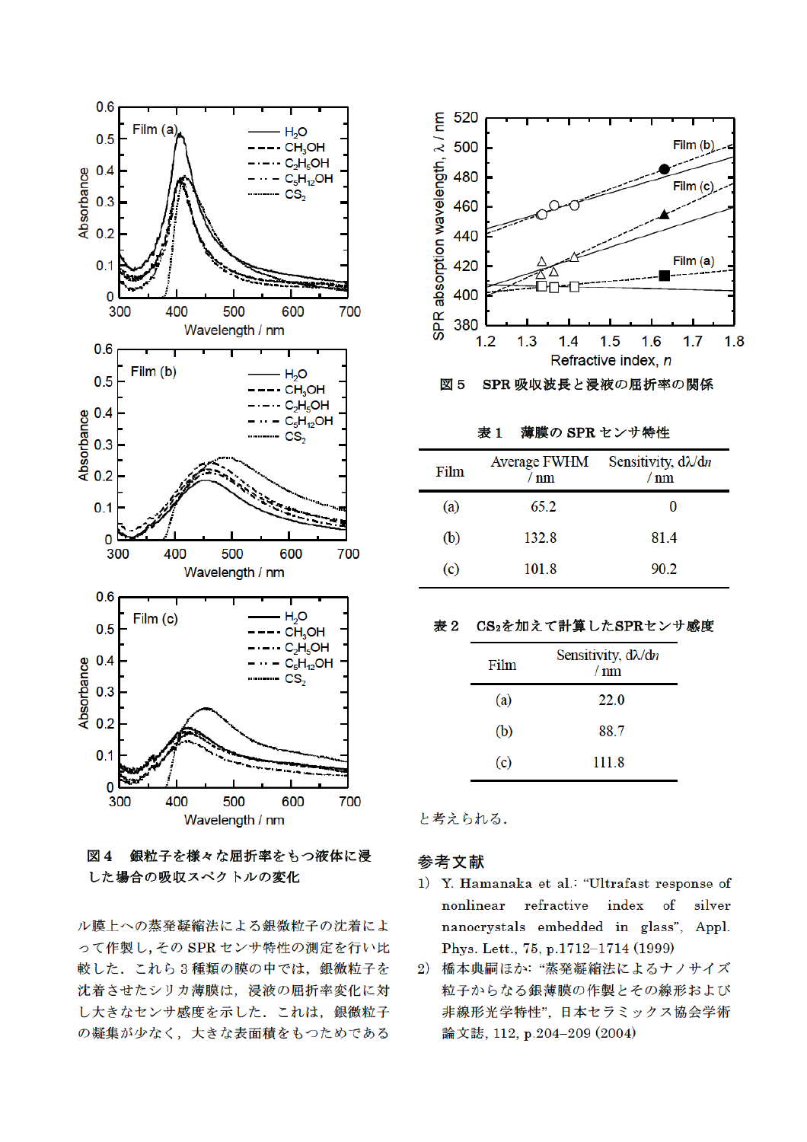

図 4 銀粒子を様々な屈折率をもつ液体に浸 した場合の吸収スペクトルの変化

ル膜上への蒸発凝縮法による銀微粒子の沈着によ って作製し、その SPR センサ特性の測定を行い比 較した. これら3種類の膜の中では、銀微粒子を 沈着させたシリカ薄膜は、浸液の屈折率変化に対 し大きなセンサ感度を示した. これは、銀微粒子 の凝集が少なく、大きな表面積をもつためである



薄膜の SPR センサ特性 表1

| Film | <b>Average FWHM</b><br>nm | Sensitivity, $d\lambda/dn$<br>nm |
|------|---------------------------|----------------------------------|
| (a)  | 65.2                      |                                  |
| (b)  | 132.8                     | 81.4                             |
| (c)  | 101.8                     | 90.2                             |

#### 表 2 CS<sub>2</sub>を加えて計算したSPRセンサ感度

| Film              | Sensitivity, $d\lambda/dn$<br>$/ \text{nm}$ |
|-------------------|---------------------------------------------|
| (a)               | 22.0                                        |
| (b)               | 88.7                                        |
| $\left( c\right)$ | 111.8                                       |

と考えられる.

## 参考文献

- 1) Y. Hamanaka et al.: "Ultrafast response of  $refractive$ nonlinear index of silver nanocrystals embedded in glass", Appl. Phys. Lett., 75, p.1712-1714 (1999)
- 2) 橋本典嗣ほか: "蒸発凝縮法によるナノサイズ 粒子からなる銀薄膜の作製とその線形および 非線形光学特性",日本セラミックス協会学術 論文誌, 112, p.204-209 (2004)